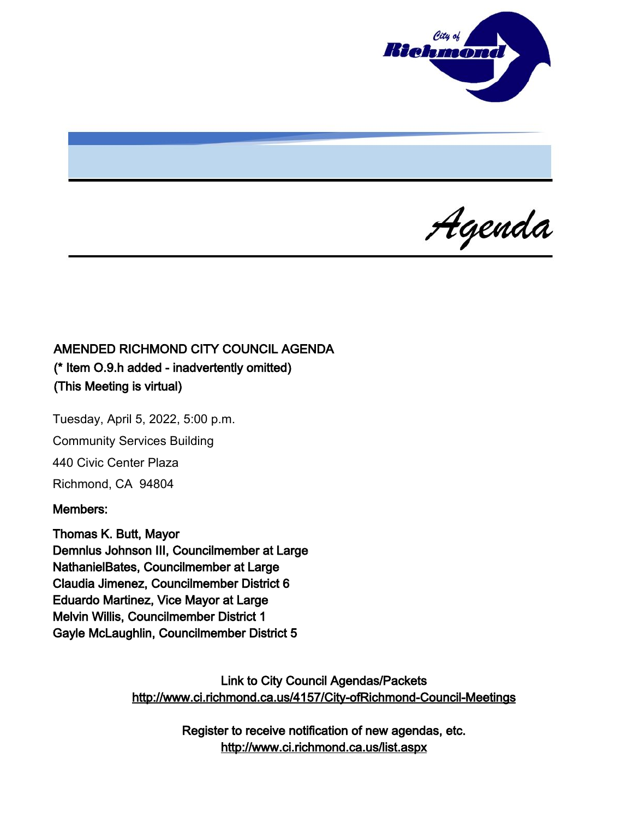

Agenda

# AMENDED RICHMOND CITY COUNCIL AGENDA (\* Item O.9.h added - inadvertently omitted) (This Meeting is virtual)

Tuesday, April 5, 2022, 5:00 p.m. Community Services Building 440 Civic Center Plaza Richmond, CA 94804

#### Members:

Thomas K. Butt, Mayor Demnlus Johnson III, Councilmember at Large NathanielBates, Councilmember at Large Claudia Jimenez, Councilmember District 6 Eduardo Martinez, Vice Mayor at Large Melvin Willis, Councilmember District 1 Gayle McLaughlin, Councilmember District 5

> Link to City Council Agendas/Packets <http://www.ci.richmond.ca.us/4157/City-ofRichmond-Council-Meetings>

> > Register to receive notification of new agendas, etc. <http://www.ci.richmond.ca.us/list.aspx>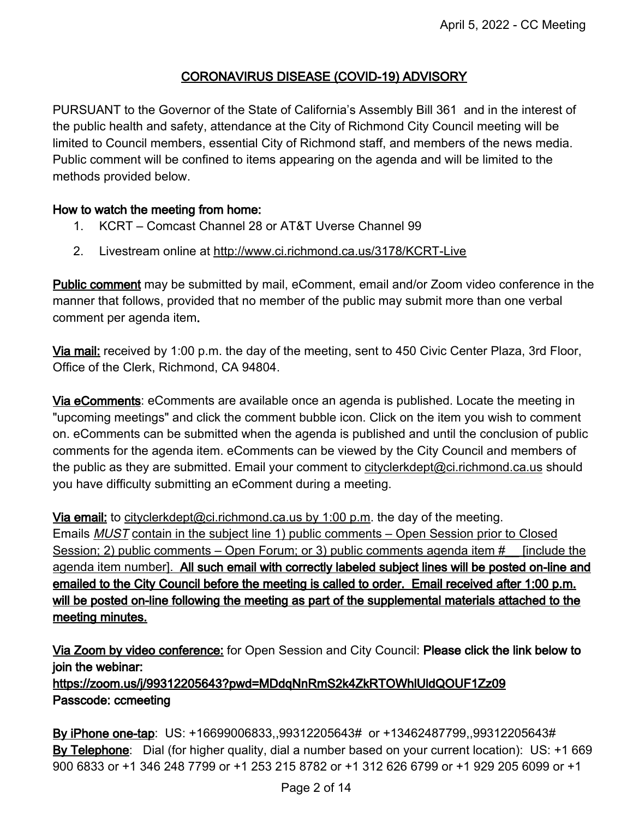# CORONAVIRUS DISEASE (COVID-19) ADVISORY

PURSUANT to the Governor of the State of California's Assembly Bill 361 and in the interest of the public health and safety, attendance at the City of Richmond City Council meeting will be limited to Council members, essential City of Richmond staff, and members of the news media. Public comment will be confined to items appearing on the agenda and will be limited to the methods provided below.

#### How to watch the meeting from home:

- 1. KCRT Comcast Channel 28 or AT&T Uverse Channel 99
- 2. Livestream online at <http://www.ci.richmond.ca.us/3178/KCRT-Live>

Public comment may be submitted by mail, eComment, email and/or Zoom video conference in the manner that follows, provided that no member of the public may submit more than one verbal comment per agenda item.

Via mail: received by 1:00 p.m. the day of the meeting, sent to 450 Civic Center Plaza, 3rd Floor, Office of the Clerk, Richmond, CA 94804.

Via eComments: eComments are available once an agenda is published. Locate the meeting in "upcoming meetings" and click the comment bubble icon. Click on the item you wish to comment on. eComments can be submitted when the agenda is published and until the conclusion of public comments for the agenda item. eComments can be viewed by the City Council and members of the public as they are submitted. Email your comment to [cityclerkdept@ci.richmond.ca.us](mailto:cityclerkdept@ci.richmond.ca.us) should you have difficulty submitting an eComment during a meeting.

Via email: to [cityclerkdept@ci.richmond.ca.us](mailto:cityclerkdept@ci.richmond.ca.us) by 1:00 p.m. the day of the meeting. Emails MUST contain in the subject line 1) public comments – Open Session prior to Closed Session; 2) public comments – Open Forum; or 3) public comments agenda item # [include the agenda item number]. All such email with correctly labeled subject lines will be posted on-line and emailed to the City Council before the meeting is called to order. Email received after 1:00 p.m. will be posted on-line following the meeting as part of the supplemental materials attached to the meeting minutes.

Via Zoom by video conference: for Open Session and City Council: Please click the link below to join the webinar: https://zoom.us/j/99312205643?pwd=MDdqNnRmS2k4ZkRTOWhlUldQOUF1Zz09 Passcode: ccmeeting

By iPhone one-tap: US: +16699006833,,99312205643# or +13462487799,,99312205643# By Telephone: Dial (for higher quality, dial a number based on your current location): US: +1 669 900 6833 or +1 346 248 7799 or +1 253 215 8782 or +1 312 626 6799 or +1 929 205 6099 or +1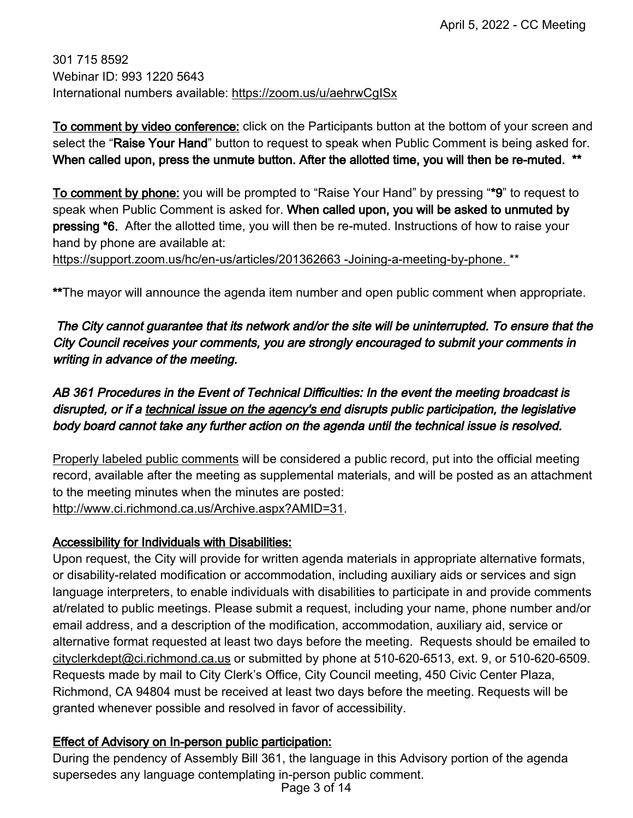301 715 8592 Webinar ID: 993 1220 5643 International numbers available: <https://zoom.us/u/aehrwCgISx>

To comment by video conference: click on the Participants button at the bottom of your screen and select the "Raise Your Hand" button to request to speak when Public Comment is being asked for. When called upon, press the unmute button. After the allotted time, you will then be re-muted. \*\*

To comment by phone: you will be prompted to "Raise Your Hand" by pressing "\*9" to request to speak when Public Comment is asked for. When called upon, you will be asked to unmuted by pressing \*6. After the allotted time, you will then be re-muted. Instructions of how to raise your hand by phone are available at:

[https://support.zoom.us/hc/en-us/articles/201362663 -Joining-a-meeting-by-phone.](https://support.zoom.us/hc/en-us/articles/201362663%20-Joining-a-meeting-by-phone.) \*\*

\*\*The mayor will announce the agenda item number and open public comment when appropriate.

# The City cannot guarantee that its network and/or the site will be uninterrupted. To ensure that the City Council receives your comments, you are strongly encouraged to submit your comments in writing in advance of the meeting.

# AB 361 Procedures in the Event of Technical Difficulties: In the event the meeting broadcast is disrupted, or if a technical issue on the agency's end disrupts public participation, the legislative body board cannot take any further action on the agenda until the technical issue is resolved.

Properly labeled public comments will be considered a public record, put into the official meeting record, available after the meeting as supplemental materials, and will be posted as an attachment to the meeting minutes when the minutes are posted: [http://www.ci.richmond.ca.us/Archive.aspx?AMID=31.](http://www.ci.richmond.ca.us/Archive.aspx?AMID=31)

## Accessibility for Individuals with Disabilities:

Upon request, the City will provide for written agenda materials in appropriate alternative formats, or disability-related modification or accommodation, including auxiliary aids or services and sign language interpreters, to enable individuals with disabilities to participate in and provide comments at/related to public meetings. Please submit a request, including your name, phone number and/or email address, and a description of the modification, accommodation, auxiliary aid, service or alternative format requested at least two days before the meeting. Requests should be emailed to [cityclerkdept@ci.richmond.ca.us](mailto:cityclerkdept@ci.richmond.ca.us) or submitted by phone at 510-620-6513, ext. 9, or 510-620-6509. Requests made by mail to City Clerk's Office, City Council meeting, 450 Civic Center Plaza, Richmond, CA 94804 must be received at least two days before the meeting. Requests will be granted whenever possible and resolved in favor of accessibility.

## Effect of Advisory on In-person public participation:

During the pendency of Assembly Bill 361, the language in this Advisory portion of the agenda supersedes any language contemplating in-person public comment.

Page 3 of 14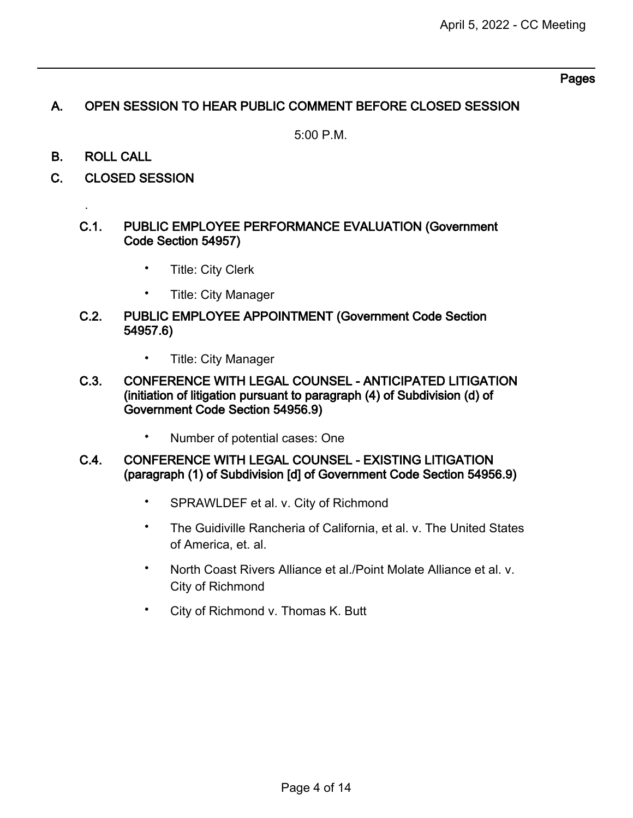#### Pages

# A. OPEN SESSION TO HEAR PUBLIC COMMENT BEFORE CLOSED SESSION

5:00 P.M.

B. ROLL CALL

.

C. CLOSED SESSION

#### C.1. PUBLIC EMPLOYEE PERFORMANCE EVALUATION (Government Code Section 54957)

- Title: City Clerk
- Title: City Manager
- C.2. PUBLIC EMPLOYEE APPOINTMENT (Government Code Section 54957.6)
	- Title: City Manager
- C.3. CONFERENCE WITH LEGAL COUNSEL ANTICIPATED LITIGATION (initiation of litigation pursuant to paragraph (4) of Subdivision (d) of Government Code Section 54956.9)
	- Number of potential cases: One
- C.4. CONFERENCE WITH LEGAL COUNSEL EXISTING LITIGATION (paragraph (1) of Subdivision [d] of Government Code Section 54956.9)
	- SPRAWLDEF et al. v. City of Richmond
	- The Guidiville Rancheria of California, et al. v. The United States of America, et. al.
	- North Coast Rivers Alliance et al./Point Molate Alliance et al. v. City of Richmond
	- City of Richmond v. Thomas K. Butt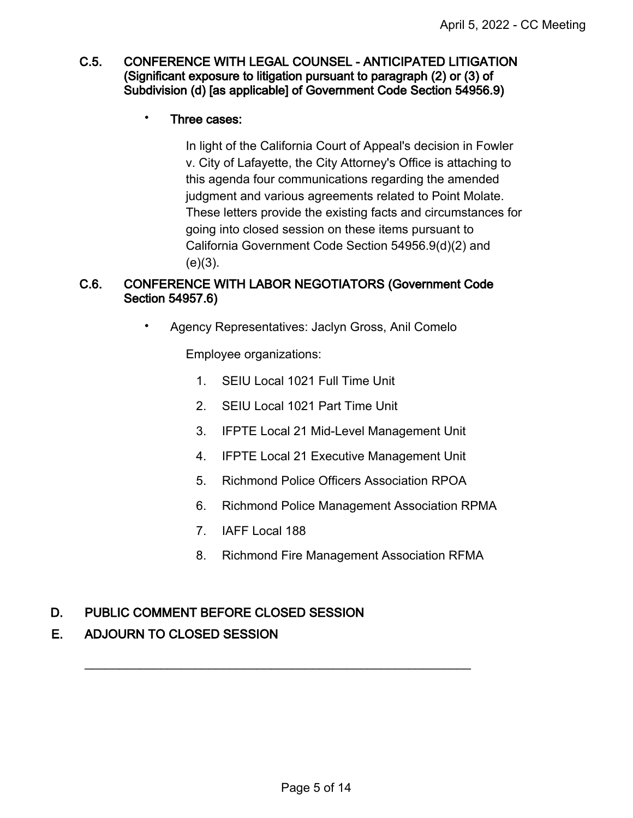#### C.5. CONFERENCE WITH LEGAL COUNSEL - ANTICIPATED LITIGATION (Significant exposure to litigation pursuant to paragraph (2) or (3) of Subdivision (d) [as applicable] of Government Code Section 54956.9)

#### • Three cases:

In light of the California Court of Appeal's decision in Fowler v. City of Lafayette, the City Attorney's Office is attaching to this agenda four communications regarding the amended judgment and various agreements related to Point Molate. These letters provide the existing facts and circumstances for going into closed session on these items pursuant to California Government Code Section 54956.9(d)(2) and  $(e)(3)$ .

## C.6. CONFERENCE WITH LABOR NEGOTIATORS (Government Code Section 54957.6)

• Agency Representatives: Jaclyn Gross, Anil Comelo

Employee organizations:

- 1. SEIU Local 1021 Full Time Unit
- 2. SEIU Local 1021 Part Time Unit
- 3. IFPTE Local 21 Mid-Level Management Unit
- 4. IFPTE Local 21 Executive Management Unit
- 5. Richmond Police Officers Association RPOA
- 6. Richmond Police Management Association RPMA
- 7. IAFF Local 188

 $\overline{\phantom{a}}$  , and the contribution of the contribution of the contribution of the contribution of the contribution of the contribution of the contribution of the contribution of the contribution of the contribution of the

8. Richmond Fire Management Association RFMA

## D. PUBLIC COMMENT BEFORE CLOSED SESSION

## E. ADJOURN TO CLOSED SESSION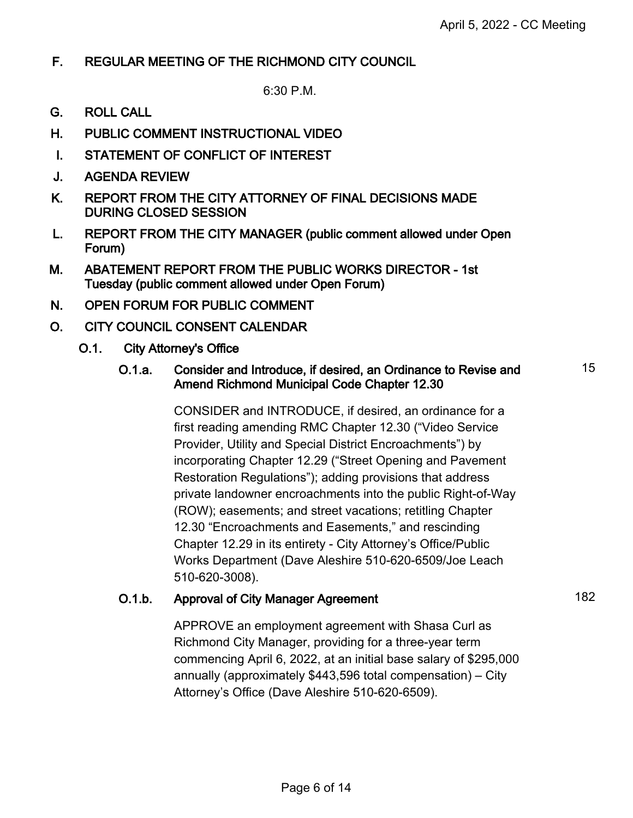15

# F. REGULAR MEETING OF THE RICHMOND CITY COUNCIL

6:30 P.M.

- G. ROLL CALL
- H. PUBLIC COMMENT INSTRUCTIONAL VIDEO
- I. STATEMENT OF CONFLICT OF INTEREST
- J. AGENDA REVIEW
- K. REPORT FROM THE CITY ATTORNEY OF FINAL DECISIONS MADE DURING CLOSED SESSION
- L. REPORT FROM THE CITY MANAGER (public comment allowed under Open Forum)
- M. ABATEMENT REPORT FROM THE PUBLIC WORKS DIRECTOR 1st Tuesday (public comment allowed under Open Forum)
- N. OPEN FORUM FOR PUBLIC COMMENT
- O. CITY COUNCIL CONSENT CALENDAR
	- O.1. City Attorney's Office

#### O.1.a. Consider and Introduce, if desired, an Ordinance to Revise and Amend Richmond Municipal Code Chapter 12.30

CONSIDER and INTRODUCE, if desired, an ordinance for a first reading amending RMC Chapter 12.30 ("Video Service Provider, Utility and Special District Encroachments") by incorporating Chapter 12.29 ("Street Opening and Pavement Restoration Regulations"); adding provisions that address private landowner encroachments into the public Right-of-Way (ROW); easements; and street vacations; retitling Chapter 12.30 "Encroachments and Easements," and rescinding Chapter 12.29 in its entirety - City Attorney's Office/Public Works Department (Dave Aleshire 510-620-6509/Joe Leach 510-620-3008).

# O.1.b. Approval of City Manager Agreement 182

APPROVE an employment agreement with Shasa Curl as Richmond City Manager, providing for a three-year term commencing April 6, 2022, at an initial base salary of \$295,000 annually (approximately \$443,596 total compensation) – City Attorney's Office (Dave Aleshire 510-620-6509).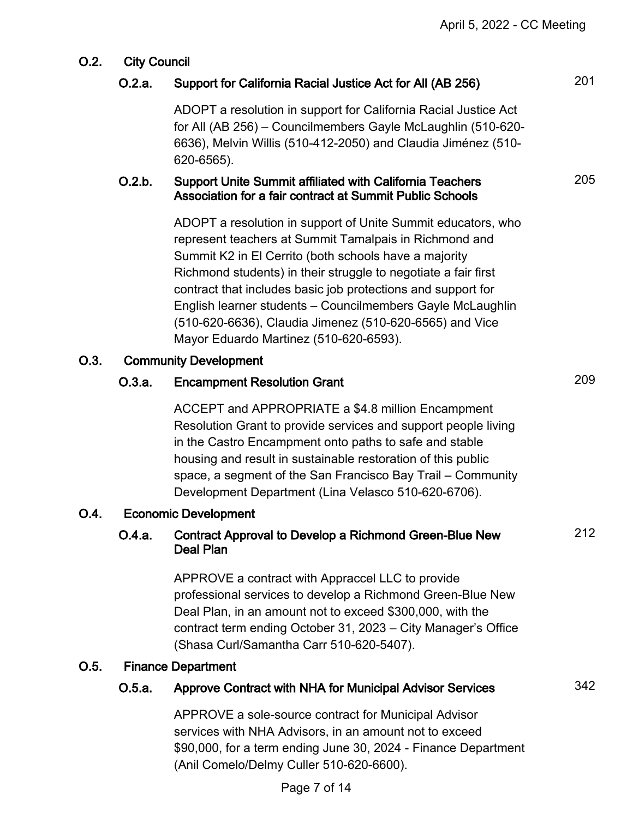# O.2. City Council

# O.2.a. Support for California Racial Justice Act for All (AB 256) 201

ADOPT a resolution in support for California Racial Justice Act for All (AB 256) – Councilmembers Gayle McLaughlin (510-620- 6636), Melvin Willis (510-412-2050) and Claudia Jiménez (510- 620-6565).

# O.2.b. Support Unite Summit affiliated with California Teachers Association for a fair contract at Summit Public Schools

ADOPT a resolution in support of Unite Summit educators, who represent teachers at Summit Tamalpais in Richmond and Summit K2 in El Cerrito (both schools have a majority Richmond students) in their struggle to negotiate a fair first contract that includes basic job protections and support for English learner students – Councilmembers Gayle McLaughlin (510-620-6636), Claudia Jimenez (510-620-6565) and Vice Mayor Eduardo Martinez (510-620-6593).

## O.3. Community Development

# O.3.a. Encampment Resolution Grant 209

ACCEPT and APPROPRIATE a \$4.8 million Encampment Resolution Grant to provide services and support people living in the Castro Encampment onto paths to safe and stable housing and result in sustainable restoration of this public space, a segment of the San Francisco Bay Trail – Community Development Department (Lina Velasco 510-620-6706).

## O.4. Economic Development

# O.4.a. Contract Approval to Develop a Richmond Green-Blue New Deal Plan

APPROVE a contract with Appraccel LLC to provide professional services to develop a Richmond Green-Blue New Deal Plan, in an amount not to exceed \$300,000, with the contract term ending October 31, 2023 – City Manager's Office (Shasa Curl/Samantha Carr 510-620-5407).

# O.5. Finance Department

# O.5.a. Approve Contract with NHA for Municipal Advisor Services 342

212

205

APPROVE a sole-source contract for Municipal Advisor services with NHA Advisors, in an amount not to exceed \$90,000, for a term ending June 30, 2024 - Finance Department (Anil Comelo/Delmy Culler 510-620-6600).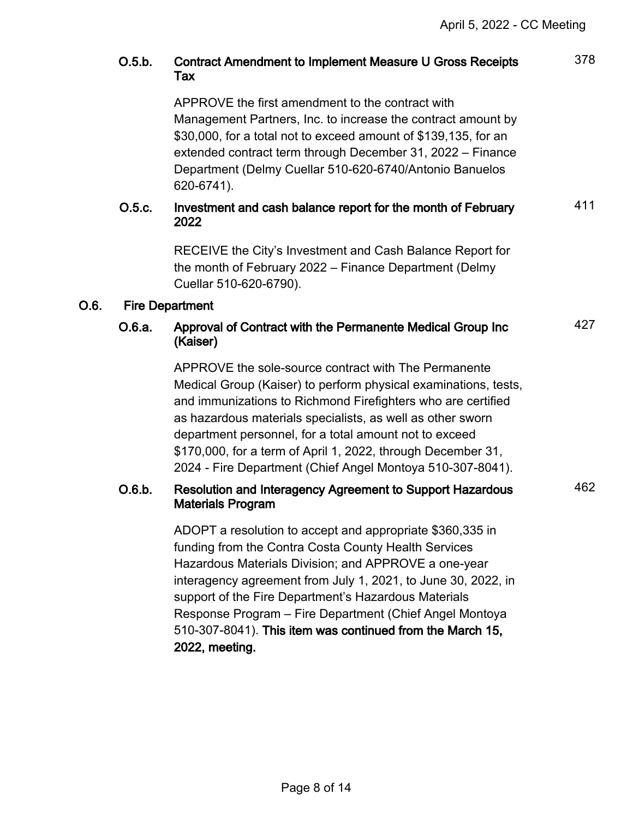|      | O.5.b.                 | Contract Amendment to Implement Measure U Gross Receipts<br>Tax                                                                                                                                                                                                                                                                                                                                                                               | 378 |  |  |
|------|------------------------|-----------------------------------------------------------------------------------------------------------------------------------------------------------------------------------------------------------------------------------------------------------------------------------------------------------------------------------------------------------------------------------------------------------------------------------------------|-----|--|--|
|      |                        | APPROVE the first amendment to the contract with<br>Management Partners, Inc. to increase the contract amount by<br>\$30,000, for a total not to exceed amount of \$139,135, for an<br>extended contract term through December 31, 2022 – Finance<br>Department (Delmy Cuellar 510-620-6740/Antonio Banuelos<br>620-6741).                                                                                                                    |     |  |  |
|      | O.5.c.                 | Investment and cash balance report for the month of February<br>2022                                                                                                                                                                                                                                                                                                                                                                          | 411 |  |  |
|      |                        | RECEIVE the City's Investment and Cash Balance Report for<br>the month of February 2022 – Finance Department (Delmy<br>Cuellar 510-620-6790).                                                                                                                                                                                                                                                                                                 |     |  |  |
| 0.6. | <b>Fire Department</b> |                                                                                                                                                                                                                                                                                                                                                                                                                                               |     |  |  |
|      | O.6.a.                 | Approval of Contract with the Permanente Medical Group Inc<br>(Kaiser)                                                                                                                                                                                                                                                                                                                                                                        | 427 |  |  |
|      |                        | APPROVE the sole-source contract with The Permanente<br>Medical Group (Kaiser) to perform physical examinations, tests,<br>and immunizations to Richmond Firefighters who are certified<br>as hazardous materials specialists, as well as other sworn<br>department personnel, for a total amount not to exceed<br>\$170,000, for a term of April 1, 2022, through December 31,<br>2024 - Fire Department (Chief Angel Montoya 510-307-8041). |     |  |  |
|      | O.6.b.                 | Resolution and Interagency Agreement to Support Hazardous<br><b>Materials Program</b>                                                                                                                                                                                                                                                                                                                                                         | 462 |  |  |
|      |                        | ADOPT a resolution to accept and appropriate \$360,335 in<br>funding from the Contra Costa County Health Services<br>Hazardous Materials Division; and APPROVE a one-year<br>interagency agreement from July 1, 2021, to June 30, 2022, in<br>support of the Fire Department's Hazardous Materials<br>Response Program - Fire Department (Chief Angel Montoya<br>510-307-8041). This item was continued from the March 15,<br>2022, meeting.  |     |  |  |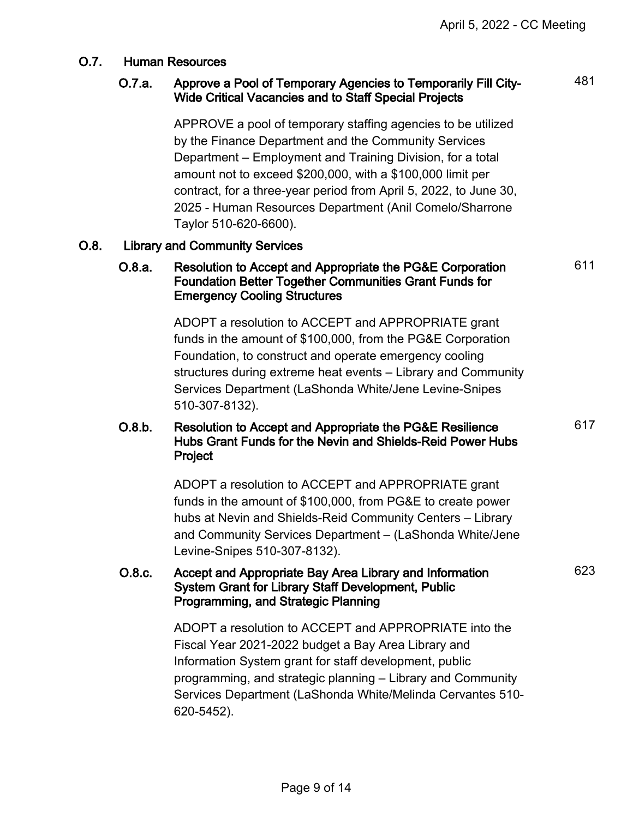481

611

# O.7. Human Resources

## O.7.a. Approve a Pool of Temporary Agencies to Temporarily Fill City-Wide Critical Vacancies and to Staff Special Projects

APPROVE a pool of temporary staffing agencies to be utilized by the Finance Department and the Community Services Department – Employment and Training Division, for a total amount not to exceed \$200,000, with a \$100,000 limit per contract, for a three-year period from April 5, 2022, to June 30, 2025 - Human Resources Department (Anil Comelo/Sharrone Taylor 510-620-6600).

# O.8. Library and Community Services

## O.8.a. Resolution to Accept and Appropriate the PG&E Corporation Foundation Better Together Communities Grant Funds for Emergency Cooling Structures

ADOPT a resolution to ACCEPT and APPROPRIATE grant funds in the amount of \$100,000, from the PG&E Corporation Foundation, to construct and operate emergency cooling structures during extreme heat events – Library and Community Services Department (LaShonda White/Jene Levine-Snipes 510-307-8132).

## O.8.b. Resolution to Accept and Appropriate the PG&E Resilience Hubs Grant Funds for the Nevin and Shields-Reid Power Hubs Project

ADOPT a resolution to ACCEPT and APPROPRIATE grant funds in the amount of \$100,000, from PG&E to create power hubs at Nevin and Shields-Reid Community Centers – Library and Community Services Department – (LaShonda White/Jene Levine-Snipes 510-307-8132).

#### O.8.c. Accept and Appropriate Bay Area Library and Information System Grant for Library Staff Development, Public Programming, and Strategic Planning

ADOPT a resolution to ACCEPT and APPROPRIATE into the Fiscal Year 2021-2022 budget a Bay Area Library and Information System grant for staff development, public programming, and strategic planning – Library and Community Services Department (LaShonda White/Melinda Cervantes 510- 620-5452).

623

617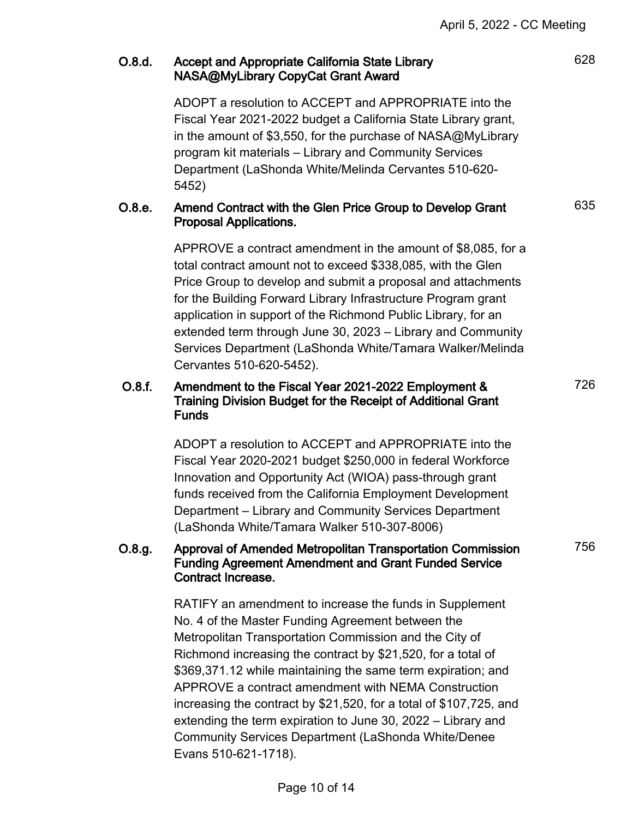# O.8.d. Accept and Appropriate California State Library NASA@MyLibrary CopyCat Grant Award

ADOPT a resolution to ACCEPT and APPROPRIATE into the Fiscal Year 2021-2022 budget a California State Library grant, in the amount of \$3,550, for the purchase of NASA@MyLibrary program kit materials – Library and Community Services Department (LaShonda White/Melinda Cervantes 510-620- 5452)

### O.8.e. Amend Contract with the Glen Price Group to Develop Grant Proposal Applications.

APPROVE a contract amendment in the amount of \$8,085, for a total contract amount not to exceed \$338,085, with the Glen Price Group to develop and submit a proposal and attachments for the Building Forward Library Infrastructure Program grant application in support of the Richmond Public Library, for an extended term through June 30, 2023 – Library and Community Services Department (LaShonda White/Tamara Walker/Melinda Cervantes 510-620-5452).

# O.8.f. Amendment to the Fiscal Year 2021-2022 Employment & Training Division Budget for the Receipt of Additional Grant Funds

ADOPT a resolution to ACCEPT and APPROPRIATE into the Fiscal Year 2020-2021 budget \$250,000 in federal Workforce Innovation and Opportunity Act (WIOA) pass-through grant funds received from the California Employment Development Department – Library and Community Services Department (LaShonda White/Tamara Walker 510-307-8006)

#### O.8.g. Approval of Amended Metropolitan Transportation Commission Funding Agreement Amendment and Grant Funded Service Contract Increase.

RATIFY an amendment to increase the funds in Supplement No. 4 of the Master Funding Agreement between the Metropolitan Transportation Commission and the City of Richmond increasing the contract by \$21,520, for a total of \$369,371.12 while maintaining the same term expiration; and APPROVE a contract amendment with NEMA Construction increasing the contract by \$21,520, for a total of \$107,725, and extending the term expiration to June 30, 2022 – Library and Community Services Department (LaShonda White/Denee Evans 510-621-1718).

635

726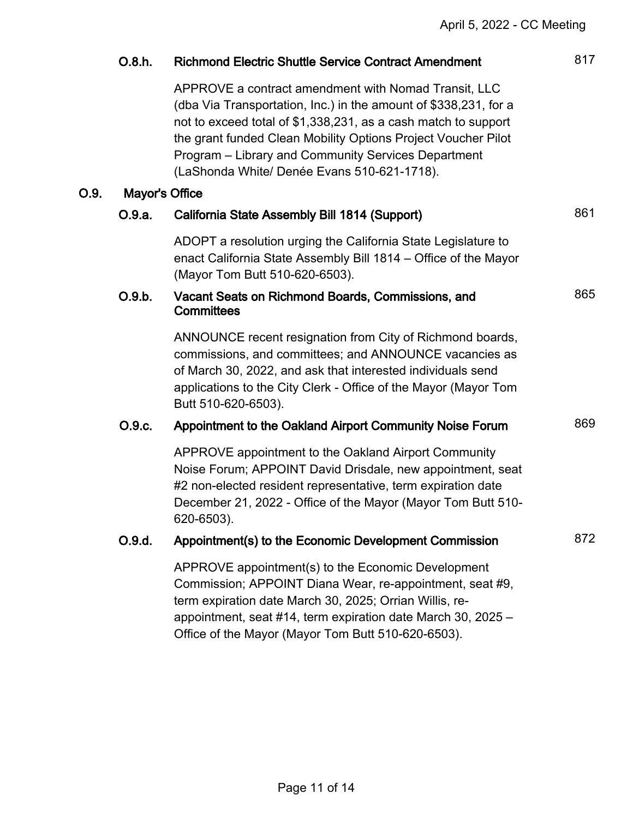|      | O.8.h.                | <b>Richmond Electric Shuttle Service Contract Amendment</b>                                                                                                                                                                                                                                                                                                       | 817 |  |
|------|-----------------------|-------------------------------------------------------------------------------------------------------------------------------------------------------------------------------------------------------------------------------------------------------------------------------------------------------------------------------------------------------------------|-----|--|
|      |                       | APPROVE a contract amendment with Nomad Transit, LLC<br>(dba Via Transportation, Inc.) in the amount of \$338,231, for a<br>not to exceed total of \$1,338,231, as a cash match to support<br>the grant funded Clean Mobility Options Project Voucher Pilot<br>Program - Library and Community Services Department<br>(LaShonda White/ Denée Evans 510-621-1718). |     |  |
| O.9. | <b>Mayor's Office</b> |                                                                                                                                                                                                                                                                                                                                                                   |     |  |
|      | O.9.a.                | California State Assembly Bill 1814 (Support)                                                                                                                                                                                                                                                                                                                     | 861 |  |
|      |                       | ADOPT a resolution urging the California State Legislature to<br>enact California State Assembly Bill 1814 – Office of the Mayor<br>(Mayor Tom Butt 510-620-6503).                                                                                                                                                                                                |     |  |
|      | O.9.b.                | Vacant Seats on Richmond Boards, Commissions, and<br><b>Committees</b>                                                                                                                                                                                                                                                                                            | 865 |  |
|      |                       | ANNOUNCE recent resignation from City of Richmond boards,<br>commissions, and committees; and ANNOUNCE vacancies as<br>of March 30, 2022, and ask that interested individuals send<br>applications to the City Clerk - Office of the Mayor (Mayor Tom<br>Butt 510-620-6503).                                                                                      |     |  |
|      | O.9.c.                | Appointment to the Oakland Airport Community Noise Forum                                                                                                                                                                                                                                                                                                          | 869 |  |
|      |                       | APPROVE appointment to the Oakland Airport Community<br>Noise Forum; APPOINT David Drisdale, new appointment, seat<br>#2 non-elected resident representative, term expiration date<br>December 21, 2022 - Office of the Mayor (Mayor Tom Butt 510-<br>620-6503).                                                                                                  |     |  |
|      | O.9.d.                | Appointment(s) to the Economic Development Commission                                                                                                                                                                                                                                                                                                             | 872 |  |
|      |                       | APPROVE appointment(s) to the Economic Development<br>Commission; APPOINT Diana Wear, re-appointment, seat #9,<br>term expiration date March 30, 2025; Orrian Willis, re-<br>appointment, seat #14, term expiration date March 30, 2025 -<br>Office of the Mayor (Mayor Tom Butt 510-620-6503).                                                                   |     |  |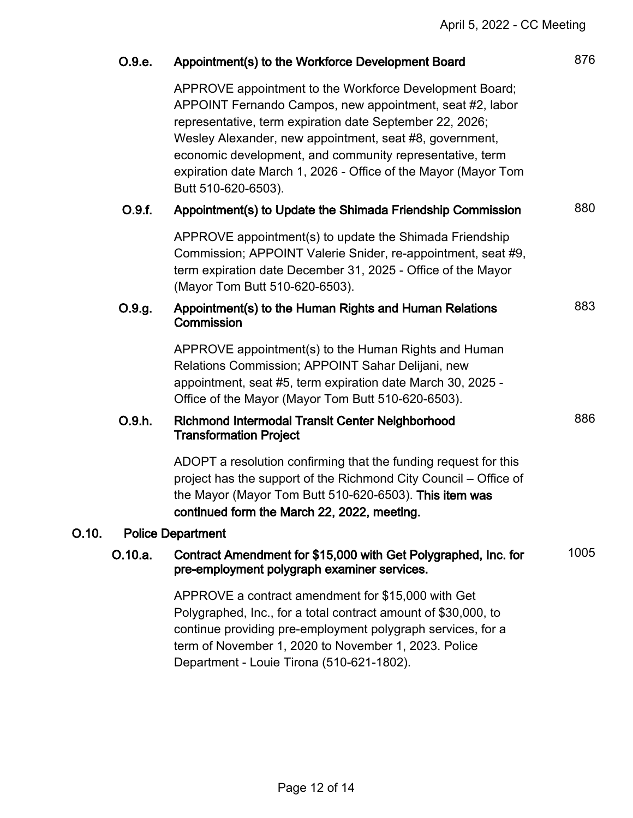|       | O.9.e.                   | Appointment(s) to the Workforce Development Board                                                                                                                                                                                                                                                                                                                                               | 876  |
|-------|--------------------------|-------------------------------------------------------------------------------------------------------------------------------------------------------------------------------------------------------------------------------------------------------------------------------------------------------------------------------------------------------------------------------------------------|------|
|       |                          | APPROVE appointment to the Workforce Development Board;<br>APPOINT Fernando Campos, new appointment, seat #2, labor<br>representative, term expiration date September 22, 2026;<br>Wesley Alexander, new appointment, seat #8, government,<br>economic development, and community representative, term<br>expiration date March 1, 2026 - Office of the Mayor (Mayor Tom<br>Butt 510-620-6503). |      |
|       | O.9.f.                   | Appointment(s) to Update the Shimada Friendship Commission                                                                                                                                                                                                                                                                                                                                      | 880  |
|       |                          | APPROVE appointment(s) to update the Shimada Friendship<br>Commission; APPOINT Valerie Snider, re-appointment, seat #9,<br>term expiration date December 31, 2025 - Office of the Mayor<br>(Mayor Tom Butt 510-620-6503).                                                                                                                                                                       |      |
|       | O.9.g.                   | Appointment(s) to the Human Rights and Human Relations<br>Commission                                                                                                                                                                                                                                                                                                                            | 883  |
|       |                          | APPROVE appointment(s) to the Human Rights and Human<br>Relations Commission; APPOINT Sahar Delijani, new<br>appointment, seat #5, term expiration date March 30, 2025 -<br>Office of the Mayor (Mayor Tom Butt 510-620-6503).                                                                                                                                                                  |      |
|       | O.9.h.                   | <b>Richmond Intermodal Transit Center Neighborhood</b><br><b>Transformation Project</b>                                                                                                                                                                                                                                                                                                         | 886  |
|       |                          | ADOPT a resolution confirming that the funding request for this<br>project has the support of the Richmond City Council – Office of<br>the Mayor (Mayor Tom Butt 510-620-6503). This item was<br>continued form the March 22, 2022, meeting.                                                                                                                                                    |      |
| O.10. | <b>Police Department</b> |                                                                                                                                                                                                                                                                                                                                                                                                 |      |
|       | O.10.a.                  | Contract Amendment for \$15,000 with Get Polygraphed, Inc. for<br>pre-employment polygraph examiner services.                                                                                                                                                                                                                                                                                   | 1005 |
|       |                          | APPROVE a contract amendment for \$15,000 with Get<br>Polygraphed, Inc., for a total contract amount of \$30,000, to<br>continue providing pre-employment polygraph services, for a<br>term of November 1, 2020 to November 1, 2023. Police<br>Department - Louie Tirona (510-621-1802).                                                                                                        |      |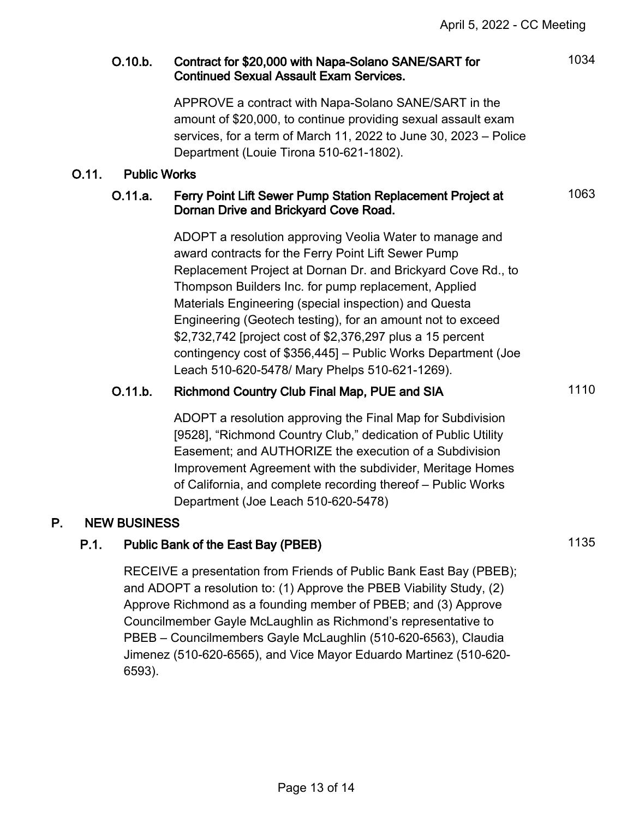# O.10.b. Contract for \$20,000 with Napa-Solano SANE/SART for Continued Sexual Assault Exam Services.

APPROVE a contract with Napa-Solano SANE/SART in the amount of \$20,000, to continue providing sexual assault exam services, for a term of March 11, 2022 to June 30, 2023 – Police Department (Louie Tirona 510-621-1802).

### O.11. Public Works

# O.11.a. Ferry Point Lift Sewer Pump Station Replacement Project at Dornan Drive and Brickyard Cove Road.

ADOPT a resolution approving Veolia Water to manage and award contracts for the Ferry Point Lift Sewer Pump Replacement Project at Dornan Dr. and Brickyard Cove Rd., to Thompson Builders Inc. for pump replacement, Applied Materials Engineering (special inspection) and Questa Engineering (Geotech testing), for an amount not to exceed \$2,732,742 [project cost of \$2,376,297 plus a 15 percent contingency cost of \$356,445] – Public Works Department (Joe Leach 510-620-5478/ Mary Phelps 510-621-1269).

# O.11.b. Richmond Country Club Final Map, PUE and SIA 1110

ADOPT a resolution approving the Final Map for Subdivision [9528], "Richmond Country Club," dedication of Public Utility Easement; and AUTHORIZE the execution of a Subdivision Improvement Agreement with the subdivider, Meritage Homes of California, and complete recording thereof – Public Works Department (Joe Leach 510-620-5478)

# P. NEW BUSINESS

# P.1. Public Bank of the East Bay (PBEB) 1135

RECEIVE a presentation from Friends of Public Bank East Bay (PBEB); and ADOPT a resolution to: (1) Approve the PBEB Viability Study, (2) Approve Richmond as a founding member of PBEB; and (3) Approve Councilmember Gayle McLaughlin as Richmond's representative to PBEB – Councilmembers Gayle McLaughlin (510-620-6563), Claudia Jimenez (510-620-6565), and Vice Mayor Eduardo Martinez (510-620- 6593).

Page 13 of 14

# 1063

1034